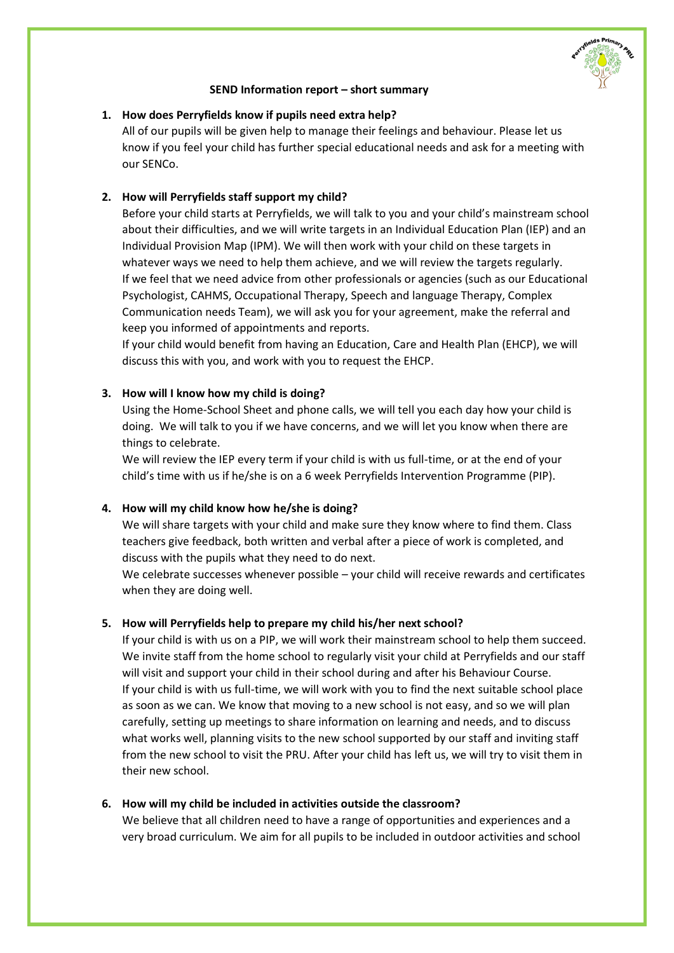

#### **SEND Information report – short summary**

### **1. How does Perryfields know if pupils need extra help?**

All of our pupils will be given help to manage their feelings and behaviour. Please let us know if you feel your child has further special educational needs and ask for a meeting with our SENCo.

### **2. How will Perryfields staff support my child?**

Before your child starts at Perryfields, we will talk to you and your child's mainstream school about their difficulties, and we will write targets in an Individual Education Plan (IEP) and an Individual Provision Map (IPM). We will then work with your child on these targets in whatever ways we need to help them achieve, and we will review the targets regularly. If we feel that we need advice from other professionals or agencies (such as our Educational Psychologist, CAHMS, Occupational Therapy, Speech and language Therapy, Complex Communication needs Team), we will ask you for your agreement, make the referral and keep you informed of appointments and reports.

If your child would benefit from having an Education, Care and Health Plan (EHCP), we will discuss this with you, and work with you to request the EHCP.

### **3. How will I know how my child is doing?**

Using the Home-School Sheet and phone calls, we will tell you each day how your child is doing. We will talk to you if we have concerns, and we will let you know when there are things to celebrate.

We will review the IEP every term if your child is with us full-time, or at the end of your child's time with us if he/she is on a 6 week Perryfields Intervention Programme (PIP).

#### **4. How will my child know how he/she is doing?**

We will share targets with your child and make sure they know where to find them. Class teachers give feedback, both written and verbal after a piece of work is completed, and discuss with the pupils what they need to do next.

We celebrate successes whenever possible – your child will receive rewards and certificates when they are doing well.

#### **5. How will Perryfields help to prepare my child his/her next school?**

If your child is with us on a PIP, we will work their mainstream school to help them succeed. We invite staff from the home school to regularly visit your child at Perryfields and our staff will visit and support your child in their school during and after his Behaviour Course. If your child is with us full-time, we will work with you to find the next suitable school place as soon as we can. We know that moving to a new school is not easy, and so we will plan carefully, setting up meetings to share information on learning and needs, and to discuss what works well, planning visits to the new school supported by our staff and inviting staff from the new school to visit the PRU. After your child has left us, we will try to visit them in their new school.

#### **6. How will my child be included in activities outside the classroom?**

We believe that all children need to have a range of opportunities and experiences and a very broad curriculum. We aim for all pupils to be included in outdoor activities and school